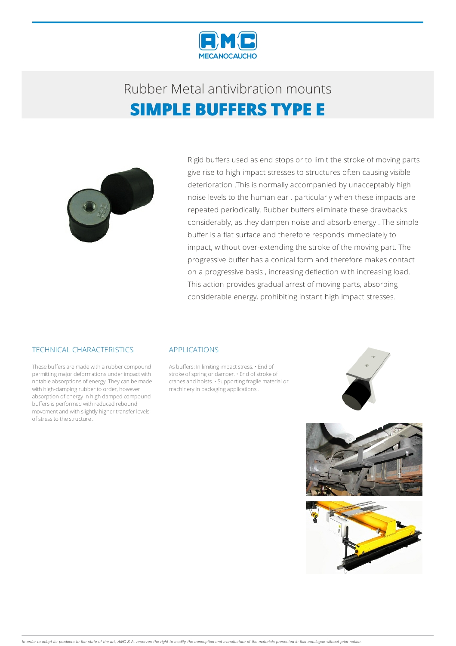

## Rubber Metalantivibration mounts **SIMPLE BUFFERS TYPE E**



Rigid buffers used as end stops or to limit the stroke of moving parts give rise to high impact stresses to structures often causing visible deterioration .This is normally accompanied by unacceptably high noise levels to the human ear , particularly when these impacts are repeated periodically. Rubber buffers eliminate these drawbacks considerably, as they dampen noise and absorb energy . The simple buffer is a flat surface and therefore responds immediately to impact, without over-extending the stroke of the moving part. The progressive buffer has a conical form and therefore makes contact on a progressive basis , increasing deflection with increasing load. This action provides gradual arrest of moving parts, absorbing considerable energy, prohibiting instant high impact stresses.

#### TECHNICAL CHARACTERISTICS

These buffers are made with a rubber compound permitting major deformations under impact with notable absorptions of energy.Theycan bemade with high-damping rubber to order, however absorption of energy in high damped compound buffers is performed with reduced rebound movementand with slightly higher transfer levels of stress to the structure.

#### APPLICATIONS

As buffers: In limiting impact stress. • End of stroke of spring or damper. • End of stroke of cranes and hoists. • Supporting fragile material or machinery in packaging applications.





In order to adapt its products to the state of the art, AMC S.A. reserves the right to modify the conception and manufacture of the materials presented in this catalogue without prior notice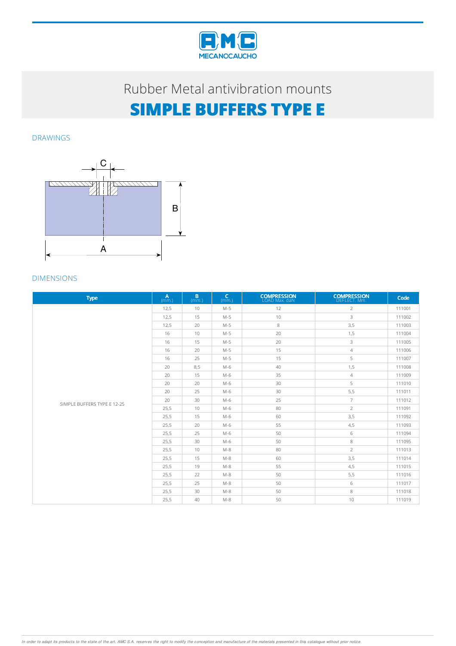

# **SIMPLE BUFFERS TYPE E**

DRAWINGS



| <b>Type</b>                 | $\mathbf{A}$<br>(mm.) | B.<br>(mm.) | $\mathsf{C}$<br>(mm.) | <b>COMPRESSION</b><br>LOAD Max. daN | <b>COMPRESSION</b><br>DEFLECT. Mm. | Code   |
|-----------------------------|-----------------------|-------------|-----------------------|-------------------------------------|------------------------------------|--------|
|                             | 12,5                  | 10          | $M-5$                 | 12                                  | $\overline{2}$                     | 111001 |
|                             | 12,5                  | 15          | $M-5$                 | 10                                  | 3                                  | 111002 |
|                             | 12,5                  | 20          | $M-5$                 | 8                                   | 3,5                                | 111003 |
|                             | 16                    | 10          | $M-5$                 | 20                                  | 1,5                                | 111004 |
|                             | 16                    | 15          | $M-5$                 | 20                                  | 3                                  | 111005 |
| SIMPLE BUFFERS TYPE E 12-25 | 16                    | 20          | $M-5$                 | 15                                  | $\overline{4}$                     | 111006 |
|                             | 16                    | 25          | $M-5$                 | 15                                  | 5                                  | 111007 |
|                             | 20                    | 8,5         | $M-6$                 | 40                                  | 1,5                                | 111008 |
|                             | 20                    | 15          | $M-6$                 | 35                                  | $\overline{4}$                     | 111009 |
|                             | 20                    | 20          | $M-6$                 | 30                                  | 5                                  | 111010 |
|                             | 20                    | 25          | $M-6$                 | 30                                  | 5,5                                | 111011 |
|                             | 20                    | 30          | $M-6$                 | 25                                  | $\overline{7}$                     | 111012 |
|                             | 25,5                  | 10          | $M-6$                 | 80                                  | $\overline{2}$                     | 111091 |
|                             | 25,5                  | 15          | M-6                   | 60                                  | 3,5                                | 111092 |
|                             | 25,5                  | 20          | $M-6$                 | 55                                  | 4,5                                | 111093 |
|                             | 25,5                  | 25          | $M-6$                 | 50                                  | 6                                  | 111094 |
|                             | 25,5                  | 30          | $M-6$                 | 50                                  | 8                                  | 111095 |
|                             | 25,5                  | 10          | $M-8$                 | 80                                  | $\overline{2}$                     | 111013 |
|                             | 25,5                  | 15          | $M-8$                 | 60                                  | 3,5                                | 111014 |
|                             | 25,5                  | 19          | $M-8$                 | 55                                  | 4,5                                | 111015 |
|                             | 25,5                  | 22          | $M-8$                 | 50                                  | 5,5                                | 111016 |
|                             | 25,5                  | 25          | $M-8$                 | 50                                  | 6                                  | 111017 |
|                             | 25,5                  | 30          | $M-8$                 | 50                                  | 8                                  | 111018 |
|                             | 25,5                  | 40          | $M-8$                 | 50                                  | 10                                 | 111019 |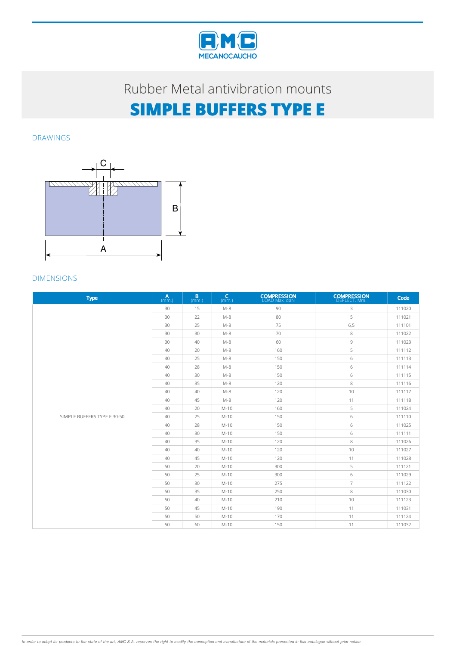

# **SIMPLE BUFFERS TYPE E**

DRAWINGS



| <b>Type</b>                 | $\mathbf{A}$<br>(mm.) | B.<br>(mm.) | $\mathsf{C}$<br>(mm.) | <b>COMPRESSION</b><br>LOAD Max. daN | <b>COMPRESSION</b><br>DEFLECT. Mm. | Code   |
|-----------------------------|-----------------------|-------------|-----------------------|-------------------------------------|------------------------------------|--------|
|                             | 30                    | 15          | $M-8$                 | 90                                  | 3                                  | 111020 |
|                             | 30                    | 22          | $M-8$                 | 80                                  | 5                                  | 111021 |
|                             | 30                    | 25          | $M-8$                 | 75                                  | 6, 5                               | 111101 |
|                             | 30                    | 30          | $M-8$                 | 70                                  | 8                                  | 111022 |
|                             | 30                    | 40          | $M-8$                 | 60                                  | $\overline{9}$                     | 111023 |
|                             | 40                    | 20          | $M-8$                 | 160                                 | 5                                  | 111112 |
|                             | 40                    | 25          | $M-8$                 | 150                                 | 6                                  | 111113 |
|                             | 40                    | 28          | $M-8$                 | 150                                 | 6                                  | 111114 |
|                             | 40                    | 30          | $M-8$                 | 150                                 | 6                                  | 111115 |
|                             | 40                    | 35          | $M-8$                 | 120                                 | 8                                  | 111116 |
| SIMPLE BUFFERS TYPE E 30-50 | 40                    | 40          | $M-8$                 | 120                                 | 10                                 | 111117 |
|                             | 40                    | 45          | $M-8$                 | 120                                 | 11                                 | 111118 |
|                             | 40                    | 20          | $M-10$                | 160                                 | 5                                  | 111024 |
|                             | 40                    | 25          | $M-10$                | 150                                 | 6                                  | 111110 |
|                             | 40                    | 28          | M-10                  | 150                                 | 6                                  | 111025 |
|                             | 40                    | 30          | $M-10$                | 150                                 | 6                                  | 111111 |
|                             | 40                    | 35          | $M-10$                | 120                                 | 8                                  | 111026 |
|                             | 40                    | 40          | $M-10$                | 120                                 | 10                                 | 111027 |
|                             | 40                    | 45          | $M-10$                | 120                                 | 11                                 | 111028 |
|                             | 50                    | 20          | M-10                  | 300                                 | 5                                  | 111121 |
|                             | 50                    | 25          | $M-10$                | 300                                 | 6                                  | 111029 |
|                             | 50                    | 30          | $M-10$                | 275                                 | $\overline{7}$                     | 111122 |
|                             | 50                    | 35          | $M-10$                | 250                                 | 8                                  | 111030 |
|                             | 50                    | 40          | $M-10$                | 210                                 | 10                                 | 111123 |
|                             | 50                    | 45          | $M-10$                | 190                                 | 11                                 | 111031 |
|                             | 50                    | 50          | $M-10$                | 170                                 | 11                                 | 111124 |
|                             | 50                    | 60          | $M-10$                | 150                                 | 11                                 | 111032 |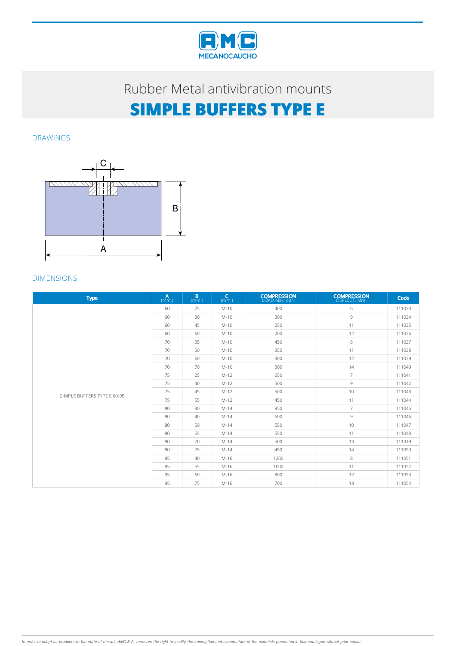

# **SIMPLE BUFFERS TYPE E**

DRAWINGS



| <b>Type</b>                 | $\mathbf{A}$<br>(mm.) | B.<br>(mm.) | $\mathsf{C}$<br>(mm.) | <b>COMPRESSION</b><br>LOAD Max. daN | <b>COMPRESSION</b><br>DEFLECT. Mm. | Code   |
|-----------------------------|-----------------------|-------------|-----------------------|-------------------------------------|------------------------------------|--------|
|                             | 60                    | 25          | $M-10$                | 400                                 | 6                                  | 111033 |
|                             | 60                    | 36          | $M-10$                | 300                                 | $\overline{9}$                     | 111034 |
|                             | 60                    | 45          | $M-10$                | 250                                 | 11                                 | 111035 |
|                             | 60                    | 60          | $M-10$                | 200                                 | 12                                 | 111036 |
|                             | 70                    | 35          | $M-10$                | 450                                 | 8                                  | 111037 |
|                             | 70                    | 50          | $M-10$                | 350                                 | 11                                 | 111038 |
| SIMPLE BUFFERS TYPE E 60-95 | 70                    | 60          | $M-10$                | 300                                 | 12                                 | 111039 |
|                             | 70                    | 70          | $M-10$                | 300                                 | 14                                 | 111040 |
|                             | 75                    | 25          | $M-12$                | 650                                 | $\overline{7}$                     | 111041 |
|                             | 75                    | 40          | $M-12$                | 500                                 | $\circ$                            | 111042 |
|                             | 75                    | 45          | $M-12$                | 500                                 | 10                                 | 111043 |
|                             | 75                    | 55          | $M-12$                | 450                                 | 11                                 | 111044 |
|                             | 80                    | 30          | $M-14$                | 950                                 | $\overline{7}$                     | 111045 |
|                             | 80                    | 40          | $M-14$                | 600                                 | 9                                  | 111046 |
|                             | 80                    | 50          | $M-14$                | 550                                 | 10                                 | 111047 |
|                             | 80                    | 55          | $M-14$                | 550                                 | 11                                 | 111048 |
|                             | 80                    | 70          | $M-14$                | 500                                 | 13                                 | 111049 |
|                             | 80                    | 75          | $M-14$                | 450                                 | 14                                 | 111050 |
|                             | 95                    | 40          | M-16                  | 1200                                | 8                                  | 111051 |
|                             | 95                    | 55          | M-16                  | 1000                                | 11                                 | 111052 |
|                             | 95                    | 60          | M-16                  | 800                                 | 12                                 | 111053 |
|                             | 95                    | 75          | $M-16$                | 700                                 | 13                                 | 111054 |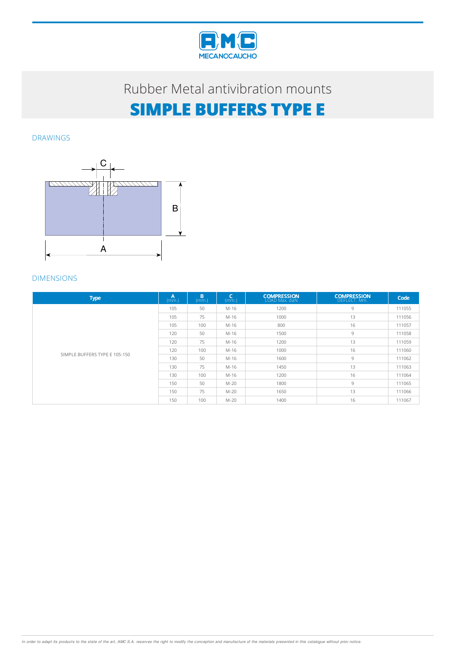

# **SIMPLE BUFFERS TYPE E**

DRAWINGS



| <b>Type</b>                   | A<br>(mm.) | B<br>(mm.) | $\mathsf{C}$<br>(mm.) | <b>COMPRESSION</b><br>LOAD Max. daN | <b>COMPRESSION</b><br>DEFLECT. Mm. | Code   |
|-------------------------------|------------|------------|-----------------------|-------------------------------------|------------------------------------|--------|
| SIMPLE BUFFERS TYPE E 105-150 | 105        | 50         | M-16                  | 1200                                | 9                                  | 111055 |
|                               | 105        | 75         | M-16                  | 1000                                | 13                                 | 111056 |
|                               | 105        | 100        | M-16                  | 800                                 | 16                                 | 111057 |
|                               | 120        | 50         | M-16                  | 1500                                | 9                                  | 111058 |
|                               | 120        | 75         | M-16                  | 1200                                | 13                                 | 111059 |
|                               | 120        | 100        | M-16                  | 1000                                | 16                                 | 111060 |
|                               | 130        | 50         | M-16                  | 1600                                | 9                                  | 111062 |
|                               | 130        | 75         | M-16                  | 1450                                | 13                                 | 111063 |
|                               | 130        | 100        | M-16                  | 1200                                | 16                                 | 111064 |
|                               | 150        | 50         | $M-20$                | 1800                                | 9                                  | 111065 |
|                               | 150        | 75         | $M-20$                | 1650                                | 13                                 | 111066 |
|                               | 150        | 100        | $M-20$                | 1400                                | 16                                 | 111067 |